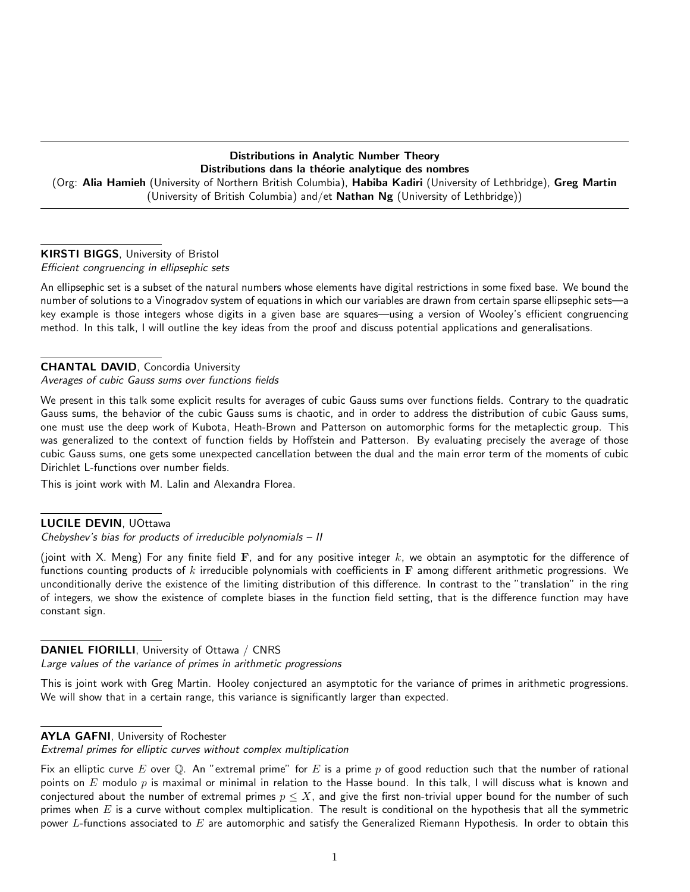## Distributions in Analytic Number Theory Distributions dans la théorie analytique des nombres (Org: Alia Hamieh (University of Northern British Columbia), Habiba Kadiri (University of Lethbridge), Greg Martin (University of British Columbia) and/et Nathan Ng (University of Lethbridge))

## KIRSTI BIGGS, University of Bristol

Efficient congruencing in ellipsephic sets

An ellipsephic set is a subset of the natural numbers whose elements have digital restrictions in some fixed base. We bound the number of solutions to a Vinogradov system of equations in which our variables are drawn from certain sparse ellipsephic sets—a key example is those integers whose digits in a given base are squares—using a version of Wooley's efficient congruencing method. In this talk, I will outline the key ideas from the proof and discuss potential applications and generalisations.

## CHANTAL DAVID, Concordia University

Averages of cubic Gauss sums over functions fields

We present in this talk some explicit results for averages of cubic Gauss sums over functions fields. Contrary to the quadratic Gauss sums, the behavior of the cubic Gauss sums is chaotic, and in order to address the distribution of cubic Gauss sums, one must use the deep work of Kubota, Heath-Brown and Patterson on automorphic forms for the metaplectic group. This was generalized to the context of function fields by Hoffstein and Patterson. By evaluating precisely the average of those cubic Gauss sums, one gets some unexpected cancellation between the dual and the main error term of the moments of cubic Dirichlet L-functions over number fields.

This is joint work with M. Lalin and Alexandra Florea.

## LUCILE DEVIN, UOttawa

Chebyshev's bias for products of irreducible polynomials – II

(joint with X. Meng) For any finite field  $\bf{F}$ , and for any positive integer k, we obtain an asymptotic for the difference of functions counting products of  $k$  irreducible polynomials with coefficients in  $\bf{F}$  among different arithmetic progressions. We unconditionally derive the existence of the limiting distribution of this difference. In contrast to the "translation" in the ring of integers, we show the existence of complete biases in the function field setting, that is the difference function may have constant sign.

## DANIEL FIORILLI, University of Ottawa / CNRS

Large values of the variance of primes in arithmetic progressions

This is joint work with Greg Martin. Hooley conjectured an asymptotic for the variance of primes in arithmetic progressions. We will show that in a certain range, this variance is significantly larger than expected.

### AYLA GAFNI, University of Rochester

Extremal primes for elliptic curves without complex multiplication

Fix an elliptic curve E over  $\mathbb Q$ . An "extremal prime" for E is a prime p of good reduction such that the number of rational points on  $E$  modulo  $p$  is maximal or minimal in relation to the Hasse bound. In this talk, I will discuss what is known and conjectured about the number of extremal primes  $p \leq X$ , and give the first non-trivial upper bound for the number of such primes when  $E$  is a curve without complex multiplication. The result is conditional on the hypothesis that all the symmetric power L-functions associated to  $E$  are automorphic and satisfy the Generalized Riemann Hypothesis. In order to obtain this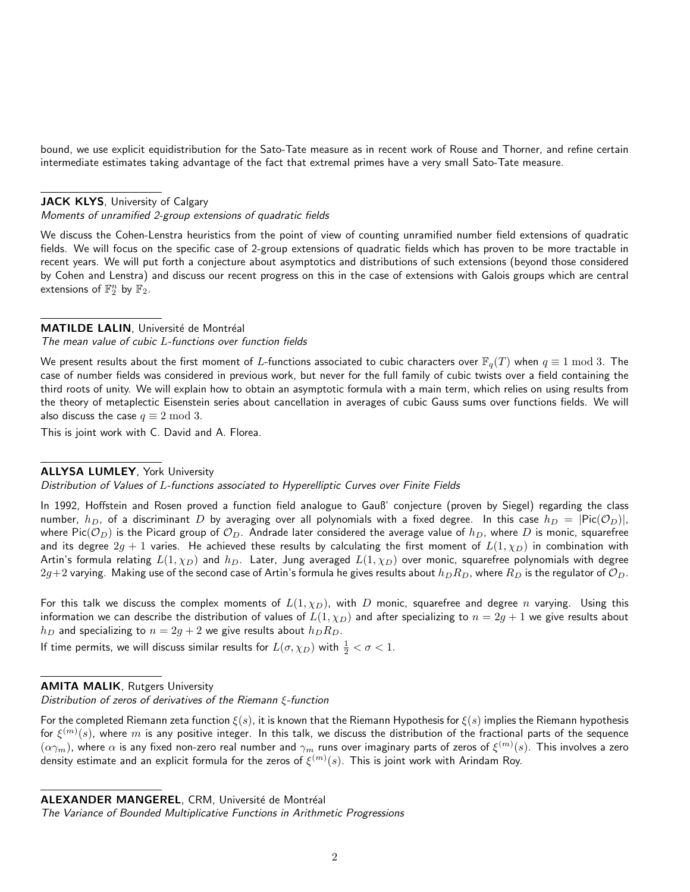bound, we use explicit equidistribution for the Sato-Tate measure as in recent work of Rouse and Thorner, and refine certain intermediate estimates taking advantage of the fact that extremal primes have a very small Sato-Tate measure.

#### JACK KLYS, University of Calgary

Moments of unramified 2-group extensions of quadratic fields

We discuss the Cohen-Lenstra heuristics from the point of view of counting unramified number field extensions of quadratic fields. We will focus on the specific case of 2-group extensions of quadratic fields which has proven to be more tractable in recent years. We will put forth a conjecture about asymptotics and distributions of such extensions (beyond those considered by Cohen and Lenstra) and discuss our recent progress on this in the case of extensions with Galois groups which are central extensions of  $\mathbb{F}_2^n$  by  $\mathbb{F}_2$ .

#### MATILDE LALIN, Université de Montréal

The mean value of cubic L-functions over function fields

We present results about the first moment of L-functions associated to cubic characters over  $\mathbb{F}_q(T)$  when  $q \equiv 1 \mod 3$ . The case of number fields was considered in previous work, but never for the full family of cubic twists over a field containing the third roots of unity. We will explain how to obtain an asymptotic formula with a main term, which relies on using results from the theory of metaplectic Eisenstein series about cancellation in averages of cubic Gauss sums over functions fields. We will also discuss the case  $q \equiv 2 \mod 3$ .

This is joint work with C. David and A. Florea.

#### ALLYSA LUMLEY, York University

Distribution of Values of L-functions associated to Hyperelliptic Curves over Finite Fields

In 1992, Hoffstein and Rosen proved a function field analogue to Gauß' conjecture (proven by Siegel) regarding the class number,  $h_D$ , of a discriminant D by averaging over all polynomials with a fixed degree. In this case  $h_D = |Pic(\mathcal{O}_D)|$ , where Pic( $\mathcal{O}_D$ ) is the Picard group of  $\mathcal{O}_D$ . Andrade later considered the average value of  $h_D$ , where D is monic, squarefree and its degree  $2g + 1$  varies. He achieved these results by calculating the first moment of  $L(1, \chi_D)$  in combination with Artin's formula relating  $L(1, \chi_D)$  and  $h_D$ . Later, Jung averaged  $L(1, \chi_D)$  over monic, squarefree polynomials with degree  $2g+2$  varying. Making use of the second case of Artin's formula he gives results about  $h_D R_D$ , where  $R_D$  is the regulator of  $\mathcal{O}_D$ .

For this talk we discuss the complex moments of  $L(1, \chi_D)$ , with D monic, squarefree and degree n varying. Using this information we can describe the distribution of values of  $L(1,\chi_D)$  and after specializing to  $n=2g+1$  we give results about  $h_D$  and specializing to  $n = 2g + 2$  we give results about  $h_D R_D$ .

If time permits, we will discuss similar results for  $L(\sigma,\chi_D)$  with  $\frac{1}{2}<\sigma< 1.$ 

#### **AMITA MALIK, Rutgers University**

Distribution of zeros of derivatives of the Riemann ξ-function

For the completed Riemann zeta function  $\xi(s)$ , it is known that the Riemann Hypothesis for  $\xi(s)$  implies the Riemann hypothesis for  $\xi^{(m)}(s)$ , where  $m$  is any positive integer. In this talk, we discuss the distribution of the fractional parts of the sequence  $(\alpha\gamma_m)$ , where  $\alpha$  is any fixed non-zero real number and  $\gamma_m$  runs over imaginary parts of zeros of  $\xi^{(m)}(s)$ . This involves a zero density estimate and an explicit formula for the zeros of  $\xi^{(m)}(s)$ . This is joint work with Arindam Roy.

ALEXANDER MANGEREL, CRM, Université de Montréal

The Variance of Bounded Multiplicative Functions in Arithmetic Progressions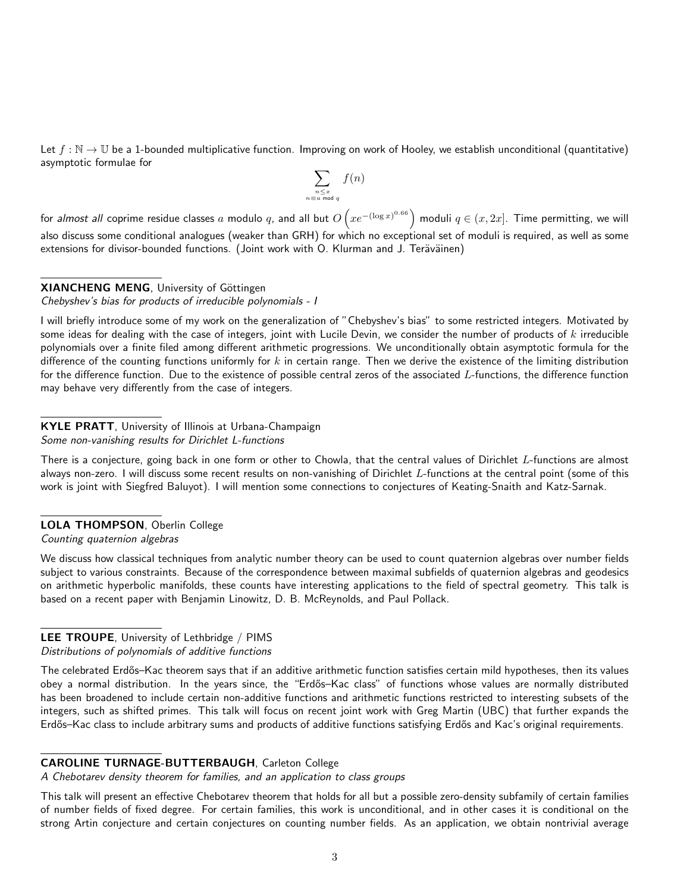Let  $f : \mathbb{N} \to \mathbb{U}$  be a 1-bounded multiplicative function. Improving on work of Hooley, we establish unconditional (quantitative) asymptotic formulae for

$$
\sum_{\substack{n \le x \\ n \equiv a \bmod q}} f(n)
$$

for *almost all* coprime residue classes  $a$  modulo  $q$ , and all but  $O\left(xe^{-(\log x)^{0.66}}\right)$  moduli  $q\in(x,2x]$ . Time permitting, we will also discuss some conditional analogues (weaker than GRH) for which no exceptional set of moduli is required, as well as some extensions for divisor-bounded functions. (Joint work with O. Klurman and J. Teräväinen)

#### XIANCHENG MENG, University of Göttingen

Chebyshev's bias for products of irreducible polynomials - I

I will briefly introduce some of my work on the generalization of "Chebyshev's bias" to some restricted integers. Motivated by some ideas for dealing with the case of integers, joint with Lucile Devin, we consider the number of products of  $k$  irreducible polynomials over a finite filed among different arithmetic progressions. We unconditionally obtain asymptotic formula for the difference of the counting functions uniformly for  $k$  in certain range. Then we derive the existence of the limiting distribution for the difference function. Due to the existence of possible central zeros of the associated L-functions, the difference function may behave very differently from the case of integers.

#### KYLE PRATT, University of Illinois at Urbana-Champaign Some non-vanishing results for Dirichlet L-functions

There is a conjecture, going back in one form or other to Chowla, that the central values of Dirichlet  $L$ -functions are almost always non-zero. I will discuss some recent results on non-vanishing of Dirichlet L-functions at the central point (some of this work is joint with Siegfred Baluyot). I will mention some connections to conjectures of Keating-Snaith and Katz-Sarnak.

# LOLA THOMPSON, Oberlin College

Counting quaternion algebras

We discuss how classical techniques from analytic number theory can be used to count quaternion algebras over number fields subject to various constraints. Because of the correspondence between maximal subfields of quaternion algebras and geodesics on arithmetic hyperbolic manifolds, these counts have interesting applications to the field of spectral geometry. This talk is based on a recent paper with Benjamin Linowitz, D. B. McReynolds, and Paul Pollack.

# LEE TROUPE, University of Lethbridge / PIMS

#### Distributions of polynomials of additive functions

The celebrated Erdős–Kac theorem says that if an additive arithmetic function satisfies certain mild hypotheses, then its values obey a normal distribution. In the years since, the "Erdős-Kac class" of functions whose values are normally distributed has been broadened to include certain non-additive functions and arithmetic functions restricted to interesting subsets of the integers, such as shifted primes. This talk will focus on recent joint work with Greg Martin (UBC) that further expands the Erdős–Kac class to include arbitrary sums and products of additive functions satisfying Erdős and Kac's original requirements.

#### CAROLINE TURNAGE-BUTTERBAUGH, Carleton College

A Chebotarev density theorem for families, and an application to class groups

This talk will present an effective Chebotarev theorem that holds for all but a possible zero-density subfamily of certain families of number fields of fixed degree. For certain families, this work is unconditional, and in other cases it is conditional on the strong Artin conjecture and certain conjectures on counting number fields. As an application, we obtain nontrivial average